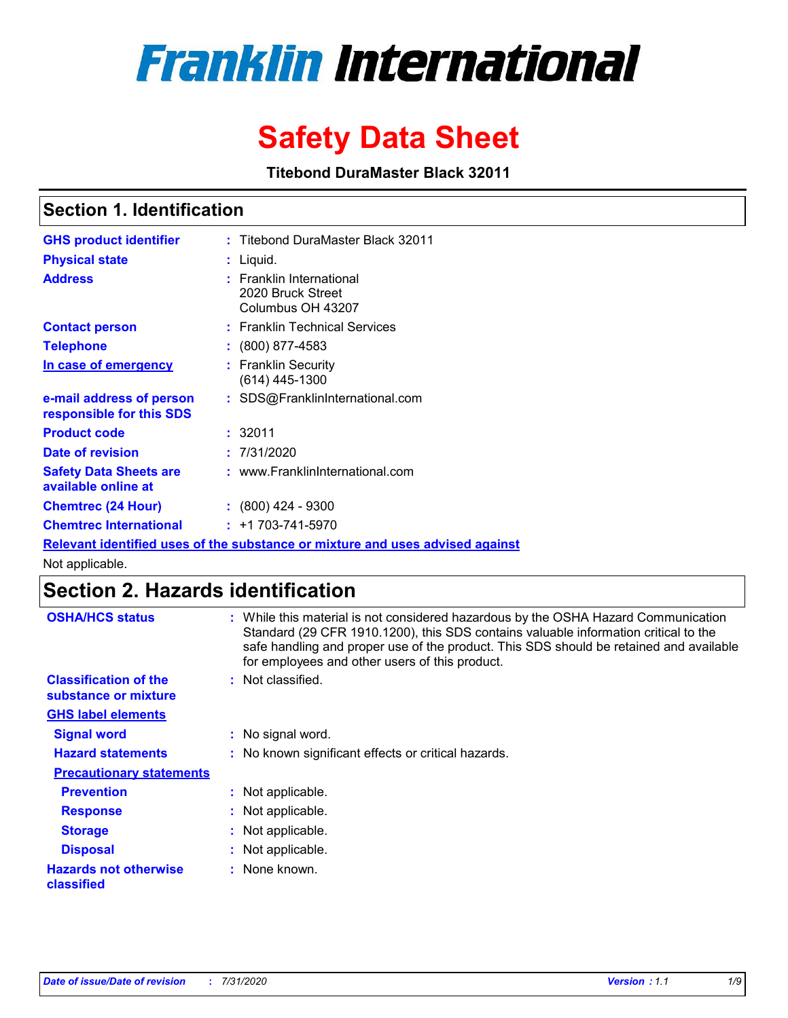# **Franklin International**

# **Safety Data Sheet**

**Titebond DuraMaster Black 32011**

# **Section 1. Identification**

| <b>GHS product identifier</b>                        | : Titebond DuraMaster Black 32011                                             |
|------------------------------------------------------|-------------------------------------------------------------------------------|
| <b>Physical state</b>                                | : Liquid.                                                                     |
| <b>Address</b>                                       | : Franklin International<br>2020 Bruck Street<br>Columbus OH 43207            |
| <b>Contact person</b>                                | : Franklin Technical Services                                                 |
| <b>Telephone</b>                                     | $\div$ (800) 877-4583                                                         |
| In case of emergency                                 | : Franklin Security<br>(614) 445-1300                                         |
| e-mail address of person<br>responsible for this SDS | : SDS@FranklinInternational.com                                               |
| <b>Product code</b>                                  | : 32011                                                                       |
| Date of revision                                     | : 7/31/2020                                                                   |
| <b>Safety Data Sheets are</b><br>available online at | : www.FranklinInternational.com                                               |
| <b>Chemtrec (24 Hour)</b>                            | $: (800)$ 424 - 9300                                                          |
| <b>Chemtrec International</b>                        | $: +1703 - 741 - 5970$                                                        |
|                                                      | Relevant identified uses of the substance or mixture and uses advised against |

Not applicable.

# **Section 2. Hazards identification**

| <b>OSHA/HCS status</b>                               | : While this material is not considered hazardous by the OSHA Hazard Communication<br>Standard (29 CFR 1910.1200), this SDS contains valuable information critical to the<br>safe handling and proper use of the product. This SDS should be retained and available<br>for employees and other users of this product. |
|------------------------------------------------------|-----------------------------------------------------------------------------------------------------------------------------------------------------------------------------------------------------------------------------------------------------------------------------------------------------------------------|
| <b>Classification of the</b><br>substance or mixture | : Not classified.                                                                                                                                                                                                                                                                                                     |
| <b>GHS label elements</b>                            |                                                                                                                                                                                                                                                                                                                       |
| <b>Signal word</b>                                   | : No signal word.                                                                                                                                                                                                                                                                                                     |
| <b>Hazard statements</b>                             | : No known significant effects or critical hazards.                                                                                                                                                                                                                                                                   |
| <b>Precautionary statements</b>                      |                                                                                                                                                                                                                                                                                                                       |
| <b>Prevention</b>                                    | : Not applicable.                                                                                                                                                                                                                                                                                                     |
| <b>Response</b>                                      | : Not applicable.                                                                                                                                                                                                                                                                                                     |
| <b>Storage</b>                                       | : Not applicable.                                                                                                                                                                                                                                                                                                     |
| <b>Disposal</b>                                      | : Not applicable.                                                                                                                                                                                                                                                                                                     |
| <b>Hazards not otherwise</b><br>classified           | : None known.                                                                                                                                                                                                                                                                                                         |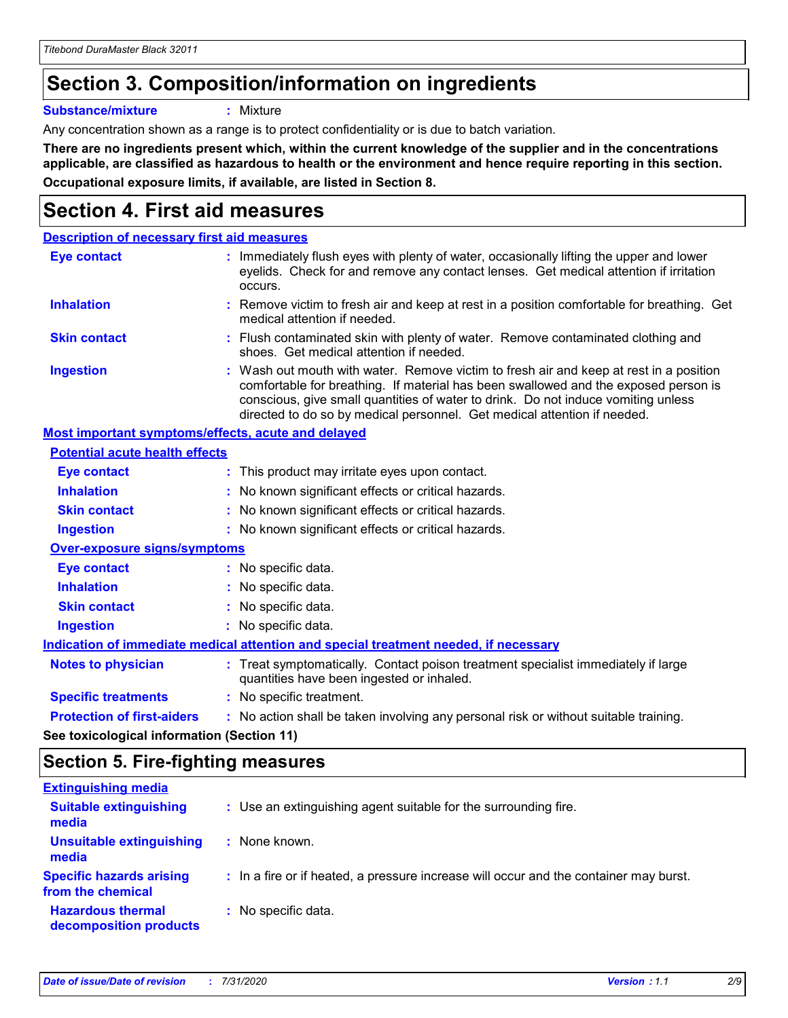# **Section 3. Composition/information on ingredients**

**Substance/mixture :** Mixture

Any concentration shown as a range is to protect confidentiality or is due to batch variation.

**There are no ingredients present which, within the current knowledge of the supplier and in the concentrations applicable, are classified as hazardous to health or the environment and hence require reporting in this section. Occupational exposure limits, if available, are listed in Section 8.**

# **Section 4. First aid measures**

| <b>Description of necessary first aid measures</b>        |                                                                                                                                                                                                                                                                                                                                                |
|-----------------------------------------------------------|------------------------------------------------------------------------------------------------------------------------------------------------------------------------------------------------------------------------------------------------------------------------------------------------------------------------------------------------|
| <b>Eye contact</b>                                        | : Immediately flush eyes with plenty of water, occasionally lifting the upper and lower<br>eyelids. Check for and remove any contact lenses. Get medical attention if irritation<br>occurs.                                                                                                                                                    |
| <b>Inhalation</b>                                         | : Remove victim to fresh air and keep at rest in a position comfortable for breathing. Get<br>medical attention if needed.                                                                                                                                                                                                                     |
| <b>Skin contact</b>                                       | : Flush contaminated skin with plenty of water. Remove contaminated clothing and<br>shoes. Get medical attention if needed.                                                                                                                                                                                                                    |
| <b>Ingestion</b>                                          | : Wash out mouth with water. Remove victim to fresh air and keep at rest in a position<br>comfortable for breathing. If material has been swallowed and the exposed person is<br>conscious, give small quantities of water to drink. Do not induce vomiting unless<br>directed to do so by medical personnel. Get medical attention if needed. |
| <b>Most important symptoms/effects, acute and delayed</b> |                                                                                                                                                                                                                                                                                                                                                |
| <b>Potential acute health effects</b>                     |                                                                                                                                                                                                                                                                                                                                                |
| <b>Eye contact</b>                                        | : This product may irritate eyes upon contact.                                                                                                                                                                                                                                                                                                 |
| <b>Inhalation</b>                                         | : No known significant effects or critical hazards.                                                                                                                                                                                                                                                                                            |
| <b>Skin contact</b>                                       | : No known significant effects or critical hazards.                                                                                                                                                                                                                                                                                            |
| <b>Ingestion</b>                                          | : No known significant effects or critical hazards.                                                                                                                                                                                                                                                                                            |
| <b>Over-exposure signs/symptoms</b>                       |                                                                                                                                                                                                                                                                                                                                                |
| Eye contact                                               | : No specific data.                                                                                                                                                                                                                                                                                                                            |
| <b>Inhalation</b>                                         | : No specific data.                                                                                                                                                                                                                                                                                                                            |
| <b>Skin contact</b>                                       | : No specific data.                                                                                                                                                                                                                                                                                                                            |
| <b>Ingestion</b>                                          | : No specific data.                                                                                                                                                                                                                                                                                                                            |
|                                                           | Indication of immediate medical attention and special treatment needed, if necessary                                                                                                                                                                                                                                                           |
| <b>Notes to physician</b>                                 | : Treat symptomatically. Contact poison treatment specialist immediately if large<br>quantities have been ingested or inhaled.                                                                                                                                                                                                                 |
| <b>Specific treatments</b>                                | : No specific treatment.                                                                                                                                                                                                                                                                                                                       |
| <b>Protection of first-aiders</b>                         | : No action shall be taken involving any personal risk or without suitable training.                                                                                                                                                                                                                                                           |
|                                                           |                                                                                                                                                                                                                                                                                                                                                |

**See toxicological information (Section 11)**

### **Section 5. Fire-fighting measures**

| <b>Extinguishing media</b>                           |                                                                                       |
|------------------------------------------------------|---------------------------------------------------------------------------------------|
| <b>Suitable extinguishing</b><br>media               | : Use an extinguishing agent suitable for the surrounding fire.                       |
| Unsuitable extinguishing<br>media                    | : None known.                                                                         |
| <b>Specific hazards arising</b><br>from the chemical | : In a fire or if heated, a pressure increase will occur and the container may burst. |
| <b>Hazardous thermal</b><br>decomposition products   | : No specific data.                                                                   |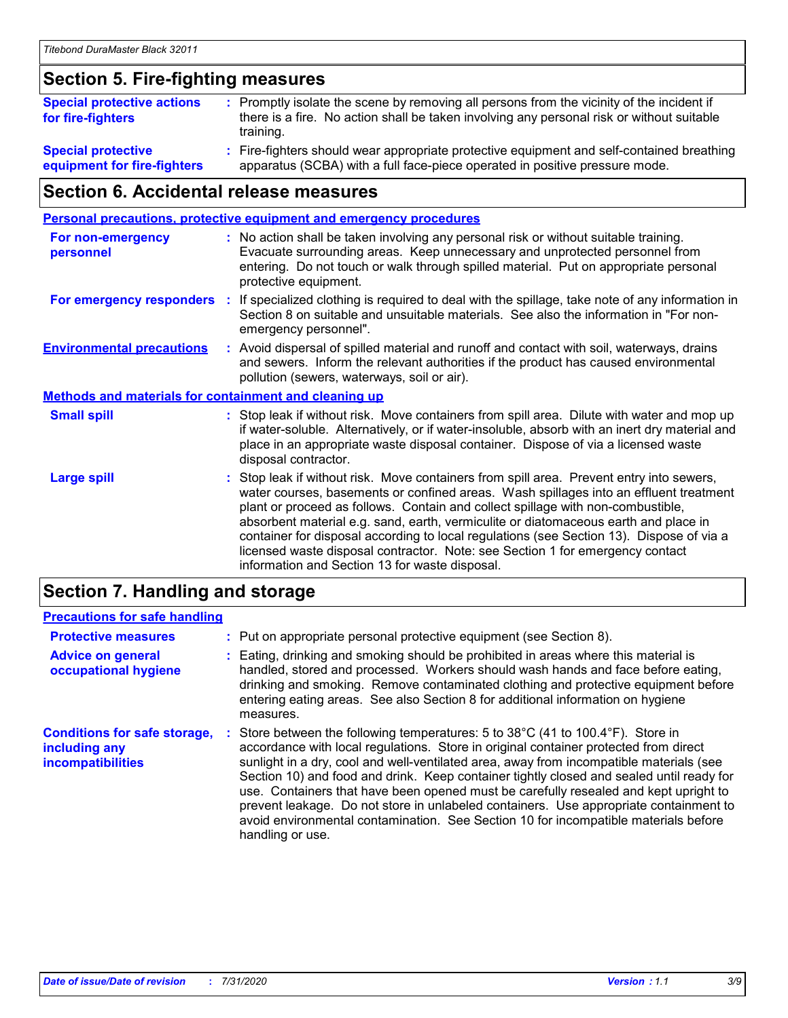# **Section 5. Fire-fighting measures**

| <b>Special protective actions</b><br>for fire-fighters   | : Promptly isolate the scene by removing all persons from the vicinity of the incident if<br>there is a fire. No action shall be taken involving any personal risk or without suitable<br>training. |
|----------------------------------------------------------|-----------------------------------------------------------------------------------------------------------------------------------------------------------------------------------------------------|
| <b>Special protective</b><br>equipment for fire-fighters | Fire-fighters should wear appropriate protective equipment and self-contained breathing<br>apparatus (SCBA) with a full face-piece operated in positive pressure mode.                              |

# **Section 6. Accidental release measures**

| <b>Personal precautions, protective equipment and emergency procedures</b> |  |                                                                                                                                                                                                                                                                                                                                                                                                                                                                                                                                                                                            |
|----------------------------------------------------------------------------|--|--------------------------------------------------------------------------------------------------------------------------------------------------------------------------------------------------------------------------------------------------------------------------------------------------------------------------------------------------------------------------------------------------------------------------------------------------------------------------------------------------------------------------------------------------------------------------------------------|
| <b>For non-emergency</b><br>personnel                                      |  | : No action shall be taken involving any personal risk or without suitable training.<br>Evacuate surrounding areas. Keep unnecessary and unprotected personnel from<br>entering. Do not touch or walk through spilled material. Put on appropriate personal<br>protective equipment.                                                                                                                                                                                                                                                                                                       |
| For emergency responders                                                   |  | : If specialized clothing is required to deal with the spillage, take note of any information in<br>Section 8 on suitable and unsuitable materials. See also the information in "For non-<br>emergency personnel".                                                                                                                                                                                                                                                                                                                                                                         |
| <b>Environmental precautions</b>                                           |  | : Avoid dispersal of spilled material and runoff and contact with soil, waterways, drains<br>and sewers. Inform the relevant authorities if the product has caused environmental<br>pollution (sewers, waterways, soil or air).                                                                                                                                                                                                                                                                                                                                                            |
| <b>Methods and materials for containment and cleaning up</b>               |  |                                                                                                                                                                                                                                                                                                                                                                                                                                                                                                                                                                                            |
| <b>Small spill</b>                                                         |  | : Stop leak if without risk. Move containers from spill area. Dilute with water and mop up<br>if water-soluble. Alternatively, or if water-insoluble, absorb with an inert dry material and<br>place in an appropriate waste disposal container. Dispose of via a licensed waste<br>disposal contractor.                                                                                                                                                                                                                                                                                   |
| <b>Large spill</b>                                                         |  | : Stop leak if without risk. Move containers from spill area. Prevent entry into sewers,<br>water courses, basements or confined areas. Wash spillages into an effluent treatment<br>plant or proceed as follows. Contain and collect spillage with non-combustible,<br>absorbent material e.g. sand, earth, vermiculite or diatomaceous earth and place in<br>container for disposal according to local regulations (see Section 13). Dispose of via a<br>licensed waste disposal contractor. Note: see Section 1 for emergency contact<br>information and Section 13 for waste disposal. |
|                                                                            |  |                                                                                                                                                                                                                                                                                                                                                                                                                                                                                                                                                                                            |

### **Section 7. Handling and storage**

#### **Precautions for safe handling**

| <b>Protective measures</b>                                                       | : Put on appropriate personal protective equipment (see Section 8).                                                                                                                                                                                                                                                                                                                                                                                                                                                                                                                                                                                      |
|----------------------------------------------------------------------------------|----------------------------------------------------------------------------------------------------------------------------------------------------------------------------------------------------------------------------------------------------------------------------------------------------------------------------------------------------------------------------------------------------------------------------------------------------------------------------------------------------------------------------------------------------------------------------------------------------------------------------------------------------------|
| <b>Advice on general</b><br>occupational hygiene                                 | : Eating, drinking and smoking should be prohibited in areas where this material is<br>handled, stored and processed. Workers should wash hands and face before eating,<br>drinking and smoking. Remove contaminated clothing and protective equipment before<br>entering eating areas. See also Section 8 for additional information on hygiene<br>measures.                                                                                                                                                                                                                                                                                            |
| <b>Conditions for safe storage,</b><br>including any<br><b>incompatibilities</b> | Store between the following temperatures: 5 to 38°C (41 to 100.4°F). Store in<br>accordance with local regulations. Store in original container protected from direct<br>sunlight in a dry, cool and well-ventilated area, away from incompatible materials (see<br>Section 10) and food and drink. Keep container tightly closed and sealed until ready for<br>use. Containers that have been opened must be carefully resealed and kept upright to<br>prevent leakage. Do not store in unlabeled containers. Use appropriate containment to<br>avoid environmental contamination. See Section 10 for incompatible materials before<br>handling or use. |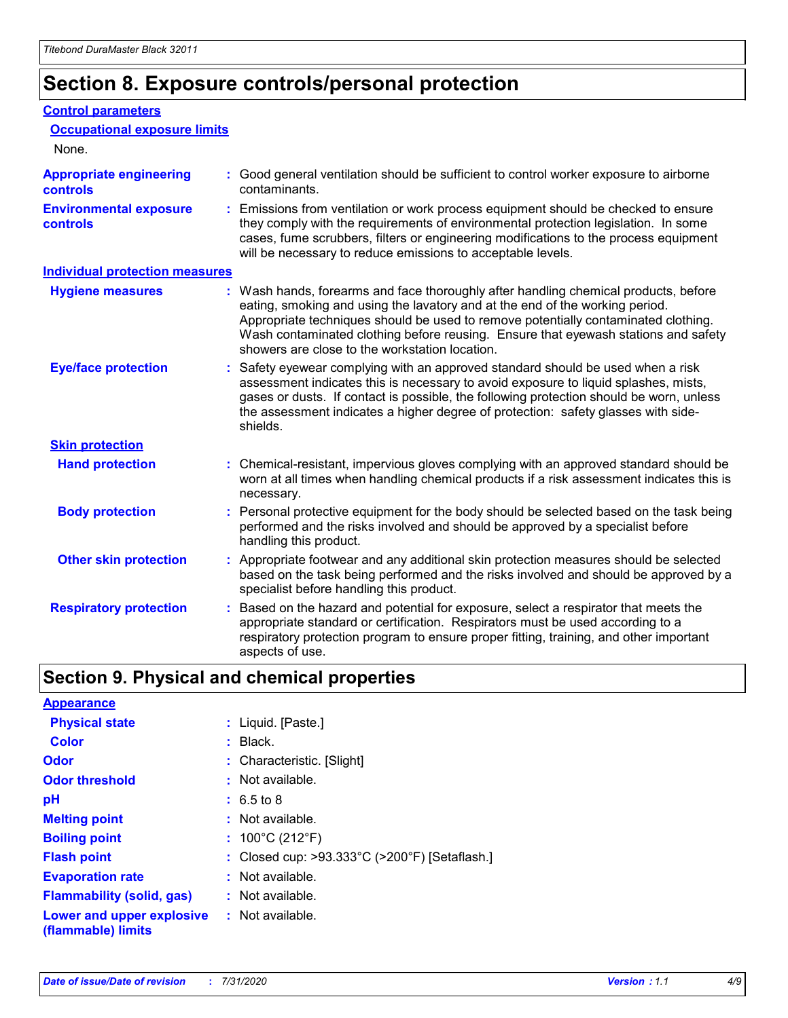# **Section 8. Exposure controls/personal protection**

#### **Control parameters**

| <b>Occupational exposure limits</b><br>None.      |                                                                                                                                                                                                                                                                                                                                                                                                   |
|---------------------------------------------------|---------------------------------------------------------------------------------------------------------------------------------------------------------------------------------------------------------------------------------------------------------------------------------------------------------------------------------------------------------------------------------------------------|
| <b>Appropriate engineering</b><br><b>controls</b> | : Good general ventilation should be sufficient to control worker exposure to airborne<br>contaminants.                                                                                                                                                                                                                                                                                           |
| <b>Environmental exposure</b><br><b>controls</b>  | : Emissions from ventilation or work process equipment should be checked to ensure<br>they comply with the requirements of environmental protection legislation. In some<br>cases, fume scrubbers, filters or engineering modifications to the process equipment<br>will be necessary to reduce emissions to acceptable levels.                                                                   |
| <b>Individual protection measures</b>             |                                                                                                                                                                                                                                                                                                                                                                                                   |
| <b>Hygiene measures</b>                           | : Wash hands, forearms and face thoroughly after handling chemical products, before<br>eating, smoking and using the lavatory and at the end of the working period.<br>Appropriate techniques should be used to remove potentially contaminated clothing.<br>Wash contaminated clothing before reusing. Ensure that eyewash stations and safety<br>showers are close to the workstation location. |
| <b>Eye/face protection</b>                        | : Safety eyewear complying with an approved standard should be used when a risk<br>assessment indicates this is necessary to avoid exposure to liquid splashes, mists,<br>gases or dusts. If contact is possible, the following protection should be worn, unless<br>the assessment indicates a higher degree of protection: safety glasses with side-<br>shields.                                |
| <b>Skin protection</b>                            |                                                                                                                                                                                                                                                                                                                                                                                                   |
| <b>Hand protection</b>                            | : Chemical-resistant, impervious gloves complying with an approved standard should be<br>worn at all times when handling chemical products if a risk assessment indicates this is<br>necessary.                                                                                                                                                                                                   |
| <b>Body protection</b>                            | : Personal protective equipment for the body should be selected based on the task being<br>performed and the risks involved and should be approved by a specialist before<br>handling this product.                                                                                                                                                                                               |
| <b>Other skin protection</b>                      | : Appropriate footwear and any additional skin protection measures should be selected<br>based on the task being performed and the risks involved and should be approved by a<br>specialist before handling this product.                                                                                                                                                                         |
| <b>Respiratory protection</b>                     | Based on the hazard and potential for exposure, select a respirator that meets the<br>appropriate standard or certification. Respirators must be used according to a<br>respiratory protection program to ensure proper fitting, training, and other important<br>aspects of use.                                                                                                                 |

# **Section 9. Physical and chemical properties**

| <b>Appearance</b>                                                       |                                               |
|-------------------------------------------------------------------------|-----------------------------------------------|
| <b>Physical state</b>                                                   | : Liquid. [Paste.]                            |
| <b>Color</b>                                                            | $:$ Black.                                    |
| Odor                                                                    | : Characteristic. [Slight]                    |
| <b>Odor threshold</b>                                                   | $:$ Not available.                            |
| рH                                                                      | $: 6.5 \text{ to } 8$                         |
| <b>Melting point</b>                                                    | $:$ Not available.                            |
| <b>Boiling point</b>                                                    | : $100^{\circ}$ C (212 $^{\circ}$ F)          |
| <b>Flash point</b>                                                      | : Closed cup: >93.333°C (>200°F) [Setaflash.] |
| <b>Evaporation rate</b>                                                 | $:$ Not available.                            |
| <b>Flammability (solid, gas)</b>                                        | : Not available.                              |
| <b>Lower and upper explosive : Not available.</b><br>(flammable) limits |                                               |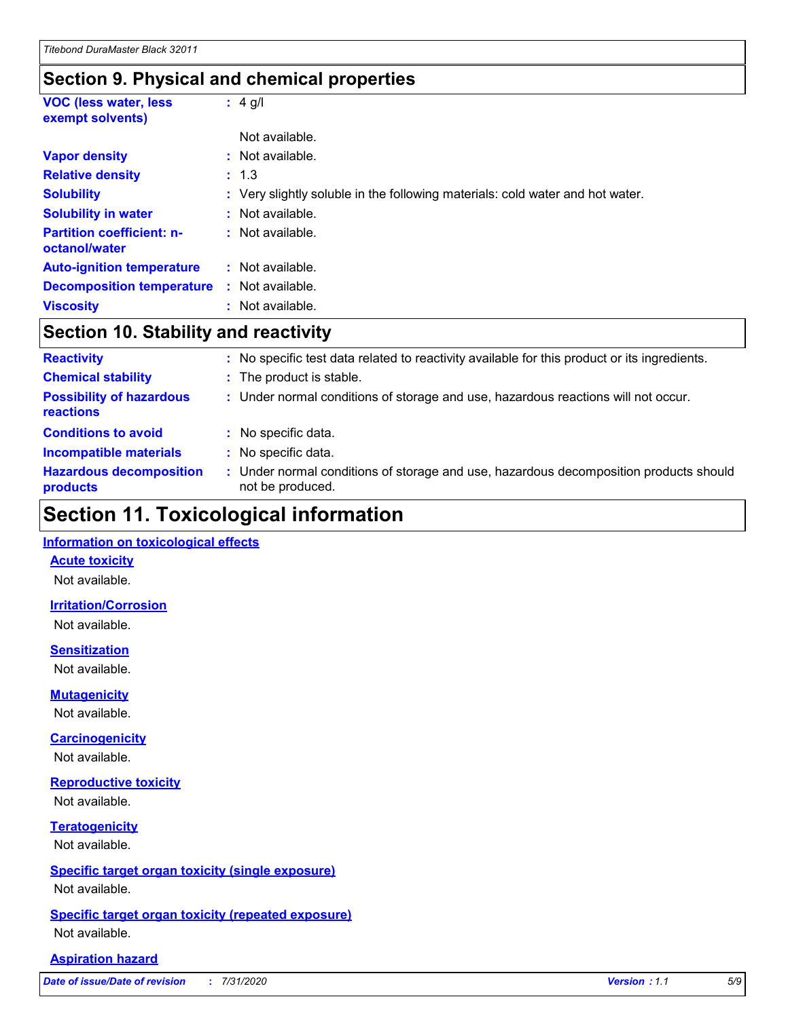## **Section 9. Physical and chemical properties**

| <b>VOC (less water, less)</b><br>exempt solvents) |    | $: 4$ g/l                                                                     |
|---------------------------------------------------|----|-------------------------------------------------------------------------------|
|                                                   |    | Not available.                                                                |
| <b>Vapor density</b>                              |    | : Not available.                                                              |
| <b>Relative density</b>                           |    | : 1.3                                                                         |
| <b>Solubility</b>                                 |    | : Very slightly soluble in the following materials: cold water and hot water. |
| <b>Solubility in water</b>                        |    | : Not available.                                                              |
| <b>Partition coefficient: n-</b><br>octanol/water |    | : Not available.                                                              |
| <b>Auto-ignition temperature</b>                  | ÷. | Not available.                                                                |
| <b>Decomposition temperature</b>                  |    | : Not available.                                                              |
| <b>Viscosity</b>                                  |    | : Not available.                                                              |

# **Section 10. Stability and reactivity**

| <b>Reactivity</b>                            | : No specific test data related to reactivity available for this product or its ingredients.              |
|----------------------------------------------|-----------------------------------------------------------------------------------------------------------|
| <b>Chemical stability</b>                    | : The product is stable.                                                                                  |
| <b>Possibility of hazardous</b><br>reactions | : Under normal conditions of storage and use, hazardous reactions will not occur.                         |
| <b>Conditions to avoid</b>                   | : No specific data.                                                                                       |
| <b>Incompatible materials</b>                | : No specific data.                                                                                       |
| <b>Hazardous decomposition</b><br>products   | : Under normal conditions of storage and use, hazardous decomposition products should<br>not be produced. |

# **Section 11. Toxicological information**

#### **Information on toxicological effects**

#### **Acute toxicity**

Not available.

#### **Irritation/Corrosion**

Not available.

#### **Sensitization**

Not available.

#### **Mutagenicity**

Not available.

#### **Carcinogenicity**

Not available.

#### **Reproductive toxicity**

Not available.

### **Teratogenicity**

Not available.

#### **Specific target organ toxicity (single exposure)**

Not available.

#### **Specific target organ toxicity (repeated exposure)** Not available.

#### **Aspiration hazard**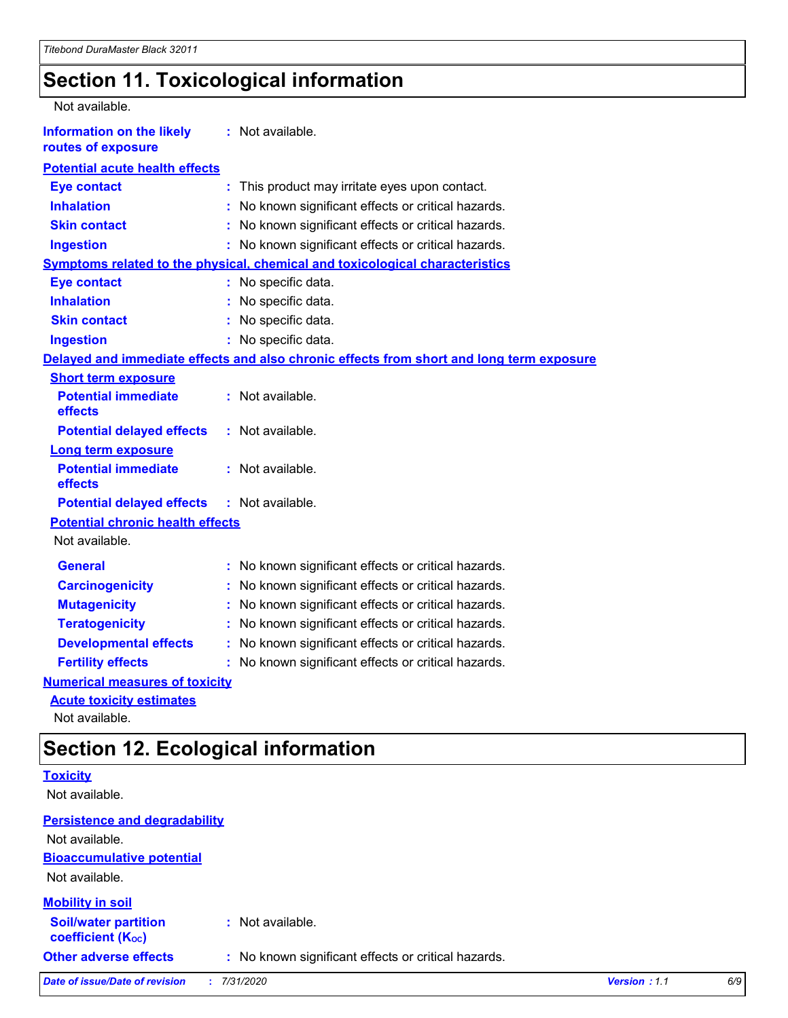# **Section 11. Toxicological information**

| Not available.                                         |                                                                                          |
|--------------------------------------------------------|------------------------------------------------------------------------------------------|
| <b>Information on the likely</b><br>routes of exposure | : Not available.                                                                         |
| <b>Potential acute health effects</b>                  |                                                                                          |
| <b>Eye contact</b>                                     | This product may irritate eyes upon contact.<br>÷.                                       |
| <b>Inhalation</b>                                      | No known significant effects or critical hazards.                                        |
| <b>Skin contact</b>                                    | No known significant effects or critical hazards.<br>t.                                  |
| <b>Ingestion</b>                                       | : No known significant effects or critical hazards.                                      |
|                                                        | Symptoms related to the physical, chemical and toxicological characteristics             |
| <b>Eye contact</b>                                     | : No specific data.                                                                      |
| <b>Inhalation</b>                                      | : No specific data.                                                                      |
| <b>Skin contact</b>                                    | : No specific data.                                                                      |
| <b>Ingestion</b>                                       | : No specific data.                                                                      |
|                                                        | Delayed and immediate effects and also chronic effects from short and long term exposure |
| <b>Short term exposure</b>                             |                                                                                          |
| <b>Potential immediate</b><br>effects                  | : Not available.                                                                         |
| <b>Potential delayed effects</b>                       | : Not available.                                                                         |
| <b>Long term exposure</b>                              |                                                                                          |
| <b>Potential immediate</b><br>effects                  | : Not available.                                                                         |
| <b>Potential delayed effects</b>                       | : Not available.                                                                         |
| <b>Potential chronic health effects</b>                |                                                                                          |
| Not available.                                         |                                                                                          |
| <b>General</b>                                         | : No known significant effects or critical hazards.                                      |
| <b>Carcinogenicity</b>                                 | No known significant effects or critical hazards.                                        |
| <b>Mutagenicity</b>                                    | No known significant effects or critical hazards.<br>t.                                  |
| <b>Teratogenicity</b>                                  | No known significant effects or critical hazards.                                        |
| <b>Developmental effects</b>                           | No known significant effects or critical hazards.                                        |
| <b>Fertility effects</b>                               | No known significant effects or critical hazards.                                        |
| <b>Numerical measures of toxicity</b>                  |                                                                                          |
| <b>Acute toxicity estimates</b>                        |                                                                                          |

Not available.

# **Section 12. Ecological information**

|                                                         | ັ                                                   |              |     |
|---------------------------------------------------------|-----------------------------------------------------|--------------|-----|
| <b>Toxicity</b>                                         |                                                     |              |     |
| Not available.                                          |                                                     |              |     |
| <b>Persistence and degradability</b>                    |                                                     |              |     |
| Not available.                                          |                                                     |              |     |
| <b>Bioaccumulative potential</b>                        |                                                     |              |     |
| Not available.                                          |                                                     |              |     |
| <b>Mobility in soil</b>                                 |                                                     |              |     |
| <b>Soil/water partition</b><br><b>coefficient (Koc)</b> | : Not available.                                    |              |     |
| <b>Other adverse effects</b>                            | : No known significant effects or critical hazards. |              |     |
| Date of issue/Date of revision                          | 7/31/2020                                           | Version: 1.1 | 6/9 |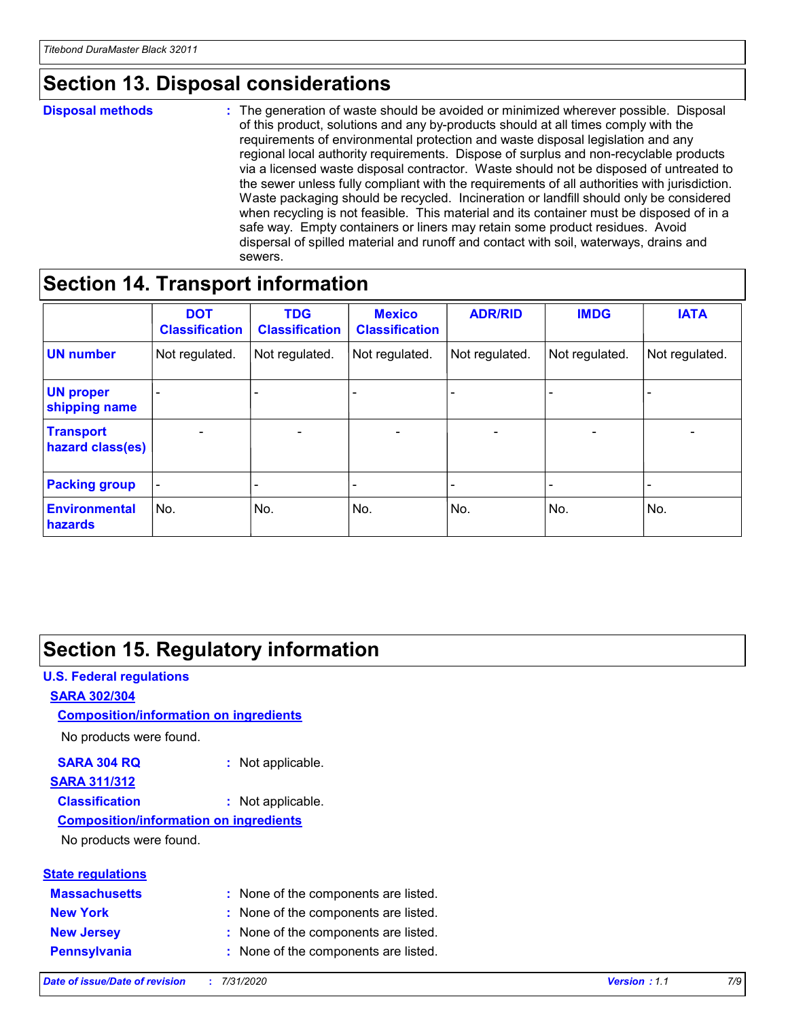# **Section 13. Disposal considerations**

#### **Disposal methods :**

The generation of waste should be avoided or minimized wherever possible. Disposal of this product, solutions and any by-products should at all times comply with the requirements of environmental protection and waste disposal legislation and any regional local authority requirements. Dispose of surplus and non-recyclable products via a licensed waste disposal contractor. Waste should not be disposed of untreated to the sewer unless fully compliant with the requirements of all authorities with jurisdiction. Waste packaging should be recycled. Incineration or landfill should only be considered when recycling is not feasible. This material and its container must be disposed of in a safe way. Empty containers or liners may retain some product residues. Avoid dispersal of spilled material and runoff and contact with soil, waterways, drains and sewers.

# **Section 14. Transport information**

|                                      | <b>DOT</b><br><b>Classification</b> | <b>TDG</b><br><b>Classification</b> | <b>Mexico</b><br><b>Classification</b> | <b>ADR/RID</b>           | <b>IMDG</b>              | <b>IATA</b>              |
|--------------------------------------|-------------------------------------|-------------------------------------|----------------------------------------|--------------------------|--------------------------|--------------------------|
| <b>UN number</b>                     | Not regulated.                      | Not regulated.                      | Not regulated.                         | Not regulated.           | Not regulated.           | Not regulated.           |
| <b>UN proper</b><br>shipping name    | $\qquad \qquad -$                   | $\qquad \qquad -$                   |                                        |                          |                          | $\overline{\phantom{0}}$ |
| <b>Transport</b><br>hazard class(es) | $\overline{\phantom{a}}$            | $\overline{\phantom{a}}$            | $\overline{\phantom{a}}$               | $\overline{\phantom{a}}$ | $\overline{\phantom{a}}$ | $\overline{\phantom{a}}$ |
| <b>Packing group</b>                 | $\overline{\phantom{a}}$            |                                     |                                        | -                        |                          | -                        |
| <b>Environmental</b><br>hazards      | No.                                 | No.                                 | No.                                    | No.                      | No.                      | No.                      |

# **Section 15. Regulatory information**

#### **U.S. Federal regulations SARA 302/304** No products were found. **Composition/information on ingredients**

#### **SARA 304 RQ :** Not applicable.

# **SARA 311/312**

**Classification :** Not applicable.

#### **Composition/information on ingredients**

No products were found.

| <b>State regulations</b> |                                      |
|--------------------------|--------------------------------------|
| <b>Massachusetts</b>     | : None of the components are listed. |
| <b>New York</b>          | : None of the components are listed. |
| <b>New Jersey</b>        | : None of the components are listed. |
| <b>Pennsylvania</b>      | : None of the components are listed. |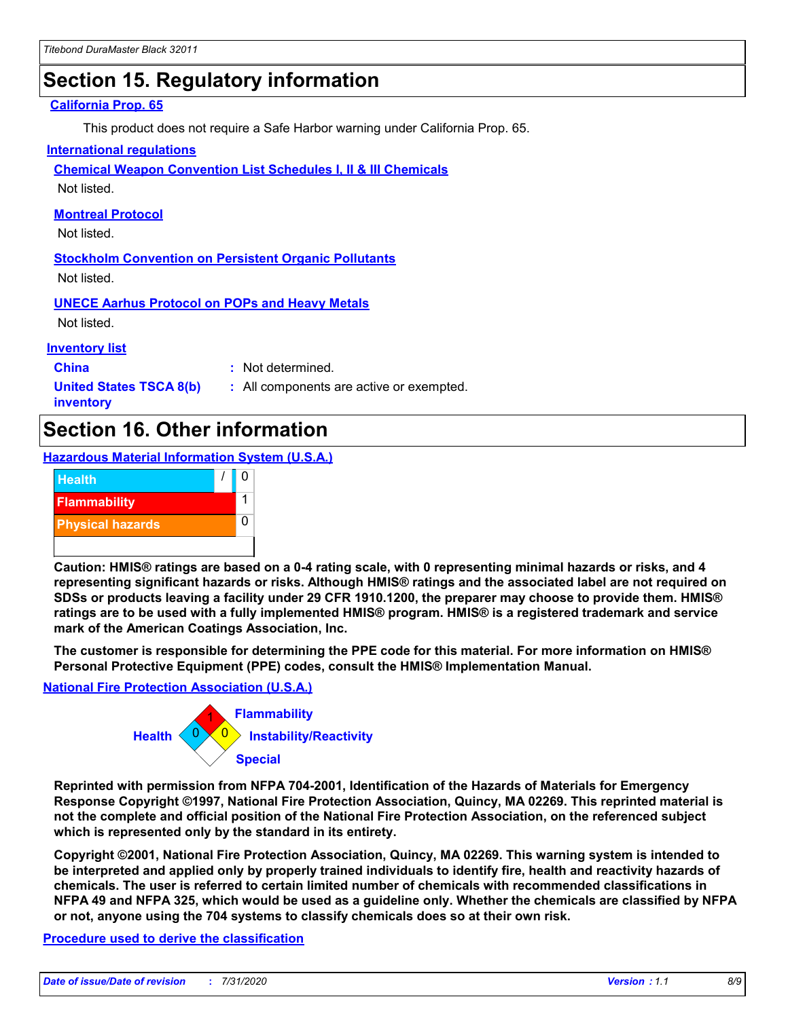# **Section 15. Regulatory information**

#### **California Prop. 65**

This product does not require a Safe Harbor warning under California Prop. 65.

#### **International regulations**

**Chemical Weapon Convention List Schedules I, II & III Chemicals**

Not listed.

#### **Montreal Protocol**

Not listed.

**Stockholm Convention on Persistent Organic Pollutants** Not listed.

**UNECE Aarhus Protocol on POPs and Heavy Metals**

Not listed.

#### **Inventory list**

**China :** Not determined.

**United States TSCA 8(b) inventory**

**:** All components are active or exempted.

# **Section 16. Other information**

**Hazardous Material Information System (U.S.A.)**



**Caution: HMIS® ratings are based on a 0-4 rating scale, with 0 representing minimal hazards or risks, and 4 representing significant hazards or risks. Although HMIS® ratings and the associated label are not required on SDSs or products leaving a facility under 29 CFR 1910.1200, the preparer may choose to provide them. HMIS® ratings are to be used with a fully implemented HMIS® program. HMIS® is a registered trademark and service mark of the American Coatings Association, Inc.**

**The customer is responsible for determining the PPE code for this material. For more information on HMIS® Personal Protective Equipment (PPE) codes, consult the HMIS® Implementation Manual.**

#### **National Fire Protection Association (U.S.A.)**



**Reprinted with permission from NFPA 704-2001, Identification of the Hazards of Materials for Emergency Response Copyright ©1997, National Fire Protection Association, Quincy, MA 02269. This reprinted material is not the complete and official position of the National Fire Protection Association, on the referenced subject which is represented only by the standard in its entirety.**

**Copyright ©2001, National Fire Protection Association, Quincy, MA 02269. This warning system is intended to be interpreted and applied only by properly trained individuals to identify fire, health and reactivity hazards of chemicals. The user is referred to certain limited number of chemicals with recommended classifications in NFPA 49 and NFPA 325, which would be used as a guideline only. Whether the chemicals are classified by NFPA or not, anyone using the 704 systems to classify chemicals does so at their own risk.**

#### **Procedure used to derive the classification**